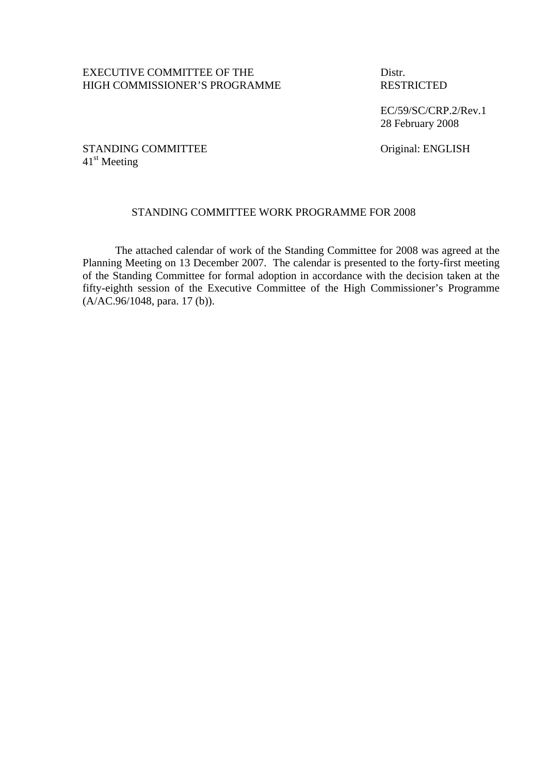## EXECUTIVE COMMITTEE OF THE Distr. HIGH COMMISSIONER'S PROGRAMME RESTRICTED

 EC/59/SC/CRP.2/Rev.1 28 February 2008

## STANDING COMMITTEE Original: ENGLISH 41<sup>st</sup> Meeting

## STANDING COMMITTEE WORK PROGRAMME FOR 2008

The attached calendar of work of the Standing Committee for 2008 was agreed at the Planning Meeting on 13 December 2007. The calendar is presented to the forty-first meeting of the Standing Committee for formal adoption in accordance with the decision taken at the fifty-eighth session of the Executive Committee of the High Commissioner's Programme (A/AC.96/1048, para. 17 (b)).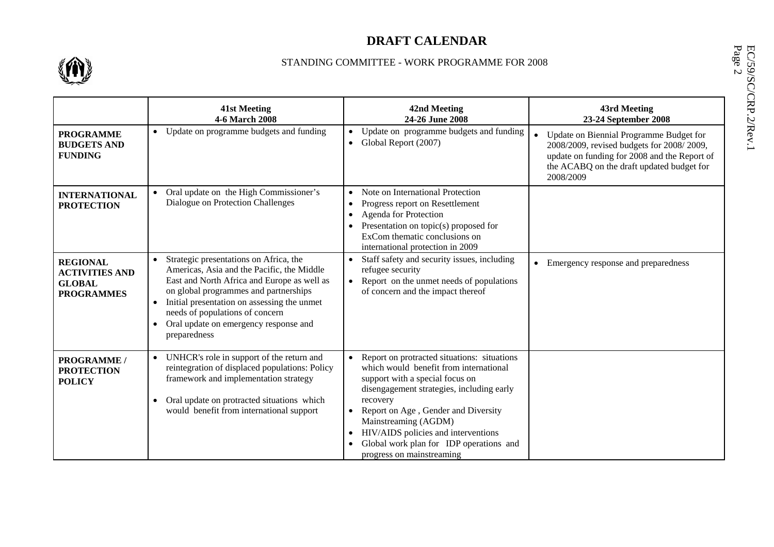# **DRAFT CALENDAR**



### STANDING COMMITTEE - WORK PROGRAMME FOR 2008

|                                                                                | STANDING COMMITTEE - WORK PROGRAMME FOR 2008                                                                                                                                                                                                                                                                            |                                                                                                                                                                                                                                                                                                                                                                 |                                                                                                                                                                                                |  |
|--------------------------------------------------------------------------------|-------------------------------------------------------------------------------------------------------------------------------------------------------------------------------------------------------------------------------------------------------------------------------------------------------------------------|-----------------------------------------------------------------------------------------------------------------------------------------------------------------------------------------------------------------------------------------------------------------------------------------------------------------------------------------------------------------|------------------------------------------------------------------------------------------------------------------------------------------------------------------------------------------------|--|
|                                                                                | <b>41st Meeting</b><br>4-6 March 2008                                                                                                                                                                                                                                                                                   | 42nd Meeting<br>24-26 June 2008                                                                                                                                                                                                                                                                                                                                 | EC/59/SC/CRP.2/Rev.1<br>Page 2<br>43rd Meeting<br>23-24 September 2008                                                                                                                         |  |
| <b>PROGRAMME</b><br><b>BUDGETS AND</b><br><b>FUNDING</b>                       | • Update on programme budgets and funding                                                                                                                                                                                                                                                                               | Update on programme budgets and funding<br>• Global Report (2007)                                                                                                                                                                                                                                                                                               | Update on Biennial Programme Budget for<br>2008/2009, revised budgets for 2008/2009,<br>update on funding for 2008 and the Report of<br>the ACABQ on the draft updated budget for<br>2008/2009 |  |
| <b>INTERNATIONAL</b><br><b>PROTECTION</b>                                      | Oral update on the High Commissioner's<br>Dialogue on Protection Challenges                                                                                                                                                                                                                                             | Note on International Protection<br>$\bullet$<br>Progress report on Resettlement<br>$\bullet$<br><b>Agenda for Protection</b><br>$\bullet$<br>• Presentation on topic(s) proposed for<br>ExCom thematic conclusions on<br>international protection in 2009                                                                                                      |                                                                                                                                                                                                |  |
| <b>REGIONAL</b><br><b>ACTIVITIES AND</b><br><b>GLOBAL</b><br><b>PROGRAMMES</b> | Strategic presentations on Africa, the<br>Americas, Asia and the Pacific, the Middle<br>East and North Africa and Europe as well as<br>on global programmes and partnerships<br>Initial presentation on assessing the unmet<br>needs of populations of concern<br>Oral update on emergency response and<br>preparedness | Staff safety and security issues, including<br>$\bullet$<br>refugee security<br>• Report on the unmet needs of populations<br>of concern and the impact thereof                                                                                                                                                                                                 | Emergency response and preparedness                                                                                                                                                            |  |
| <b>PROGRAMME /</b><br><b>PROTECTION</b><br><b>POLICY</b>                       | • UNHCR's role in support of the return and<br>reintegration of displaced populations: Policy<br>framework and implementation strategy<br>Oral update on protracted situations which<br>would benefit from international support                                                                                        | Report on protracted situations: situations<br>which would benefit from international<br>support with a special focus on<br>disengagement strategies, including early<br>recovery<br>Report on Age, Gender and Diversity<br>Mainstreaming (AGDM)<br>HIV/AIDS policies and interventions<br>Global work plan for IDP operations and<br>progress on mainstreaming |                                                                                                                                                                                                |  |